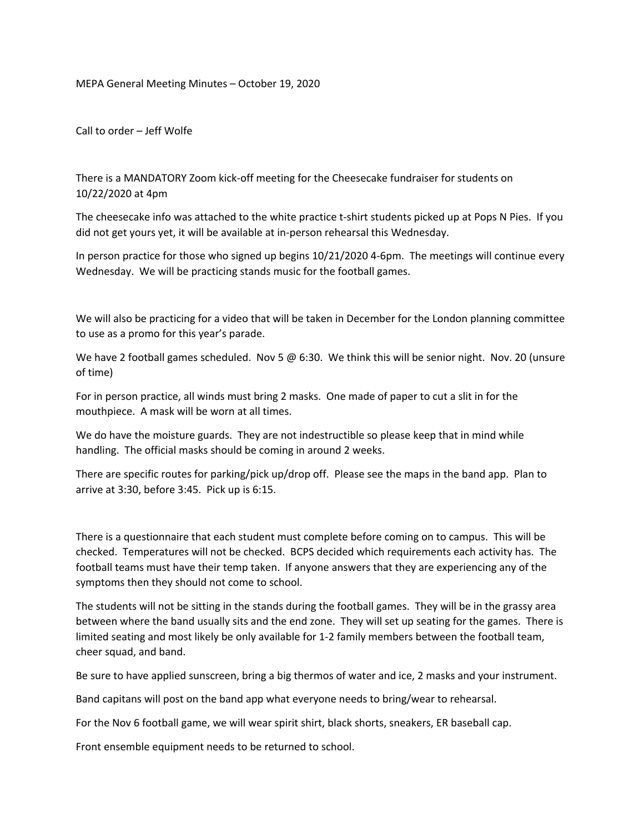MEPA General Meeting Minutes – October 19, 2020

Call to order – Jeff Wolfe

There is a MANDATORY Zoom kick-off meeting for the Cheesecake fundraiser for students on 10/22/2020 at 4pm

The cheesecake info was attached to the white practice t-shirt students picked up at Pops N Pies. If you did not get yours yet, it will be available at in-person rehearsal this Wednesday.

In person practice for those who signed up begins 10/21/2020 4-6pm. The meetings will continue every Wednesday. We will be practicing stands music for the football games.

We will also be practicing for a video that will be taken in December for the London planning committee to use as a promo for this year's parade.

We have 2 football games scheduled. Nov 5 @ 6:30. We think this will be senior night. Nov. 20 (unsure of time)

For in person practice, all winds must bring 2 masks. One made of paper to cut a slit in for the mouthpiece. A mask will be worn at all times.

We do have the moisture guards. They are not indestructible so please keep that in mind while handling. The official masks should be coming in around 2 weeks.

There are specific routes for parking/pick up/drop off. Please see the maps in the band app. Plan to arrive at 3:30, before 3:45. Pick up is 6:15.

There is a questionnaire that each student must complete before coming on to campus. This will be checked. Temperatures will not be checked. BCPS decided which requirements each activity has. The football teams must have their temp taken. If anyone answers that they are experiencing any of the symptoms then they should not come to school.

The students will not be sitting in the stands during the football games. They will be in the grassy area between where the band usually sits and the end zone. They will set up seating for the games. There is limited seating and most likely be only available for 1-2 family members between the football team, cheer squad, and band.

Be sure to have applied sunscreen, bring a big thermos of water and ice, 2 masks and your instrument.

Band capitans will post on the band app what everyone needs to bring/wear to rehearsal.

For the Nov 6 football game, we will wear spirit shirt, black shorts, sneakers, ER baseball cap.

Front ensemble equipment needs to be returned to school.